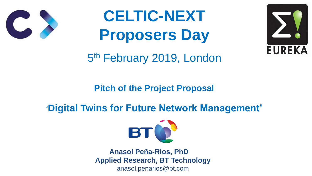## **Pitch of the Project Proposal**







# **'Digital Twins for Future Network Management'**

BT

# **CELTIC-NEXT Proposers Day** 5 th February 2019, London



**Anasol Peña-Rios, PhD Applied Research, BT Technology** anasol.penarios@bt.com

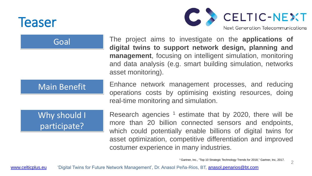



The project aims to investigate on the **applications of digital twins to support network design, planning and management**, focusing on intelligent simulation, monitoring and data analysis (e.g. smart building simulation, networks asset monitoring).

Why should I participate?

[www.celticplus.eu](http://www.celticplus.eu/) 'Digital Twins for Future Network Management', Dr. Anasol Peña-Rios, BT, [anasol.penarios@bt.com](mailto:anasol.penarios@bt.com)



<sup>1</sup> Gartner, Inc., "Top 10 Strategic Technology Trends for 2018," Gartner, Inc, 2017.

## Goal

## Main Benefit

Enhance network management processes, and reducing operations costs by optimising existing resources, doing real-time monitoring and simulation.

Research agencies <sup>1</sup> estimate that by 2020, there will be more than 20 billion connected sensors and endpoints, which could potentially enable billions of digital twins for asset optimization, competitive differentiation and improved costumer experience in many industries.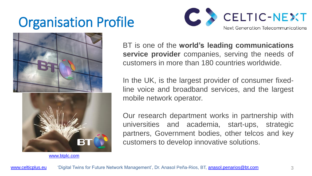# Organisation Profile





BT is one of the **world's leading communications service provider** companies, serving the needs of customers in more than 180 countries worldwide.

In the UK, is the largest provider of consumer fixedline voice and broadband services, and the largest mobile network operator.

Our research department works in partnership with universities and academia, start-ups, strategic partners, Government bodies, other telcos and key customers to develop innovative solutions.

[www.btplc.com](http://www.btplc.com/)

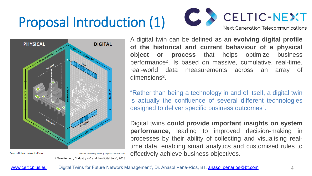# Proposal Introduction (1)









A digital twin can be defined as an **evolving digital profile of the historical and current behaviour of a physical object or process** that helps optimize business performance 2 . Is based on massive, cumulative, real-time, real-world data measurements across an array of dimensions<sup>2</sup> .

"Rather than being a technology in and of itself, a digital twin is actually the confluence of several different technologies designed to deliver specific business outcomes".

Digital twins **could provide important insights on system performance**, leading to improved decision-making in processes by their ability of collecting and visualising realtime data, enabling smart analytics and customised rules to effectively achieve business objectives.

Source: Deloitte University Press.

Deloitte University Press | dupress.deloitte.com

<sup>2</sup>Deloitte, Inc., "Industry 4.0 and the digital twin", 2018.



[www.celticplus.eu](http://www.celticplus.eu/) 'Digital Twins for Future Network Management', Dr. Anasol Peña-Rios, BT, [anasol.penarios@bt.com](mailto:anasol.penarios@bt.com)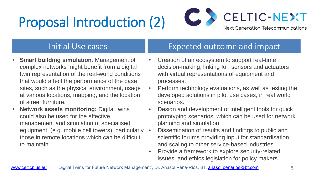# Proposal Introduction (2)







- Creation of an ecosystem to support real-time decision-making, linking IoT sensors and actuators with virtual representations of equipment and processes.
- Perform technology evaluations, as well as testing the developed solutions in pilot use cases, in real world scenarios.

• Provide a framework to explore security-related issues, and ethics legislation for policy makers.

### Expected outcome and impact

### Initial Use cases

- **Smart building simulation**: Management of complex networks might benefit from a digital twin representation of the real-world conditions that would affect the performance of the base sites, such as the physical environment, usage at various locations, mapping, and the location of street furniture.
- Design and development of intelligent tools for quick prototyping scenarios, which can be used for network planning and simulation. • Dissemination of results and findings to public and scientific forums providing input for standardisation and scaling to other service-based industries. • **Network assets monitoring:** Digital twins could also be used for the effective management and simulation of specialised equipment, (e.g. mobile cell towers), particularly those in remote locations which can be difficult to maintain.

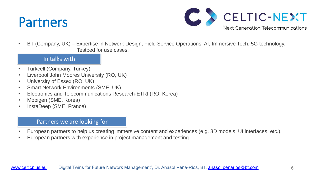# Partners

6

• BT (Company, UK) – Expertise in Network Design, Field Service Operations, AI, Immersive Tech, 5G technology.

- Turkcell (Company, Turkey)
- Liverpool John Moores University (RO, UK)
- University of Essex (RO, UK)
- Smart Network Environments (SME, UK)
- Electronics and Telecommunications Research-ETRI (RO, Korea)
- Mobigen (SME, Korea)
- InstaDeep (SME, France)

Testbed for use cases.

• European partners to help us creating immersive content and experiences (e.g. 3D models, UI interfaces, etc.).

- 
- European partners with experience in project management and testing.

[www.celticplus.eu](http://www.celticplus.eu/) 'Digital Twins for Future Network Management', Dr. Anasol Peña-Rios, BT, [anasol.penarios@bt.com](mailto:anasol.penarios@bt.com)



#### In talks with

#### Partners we are looking for